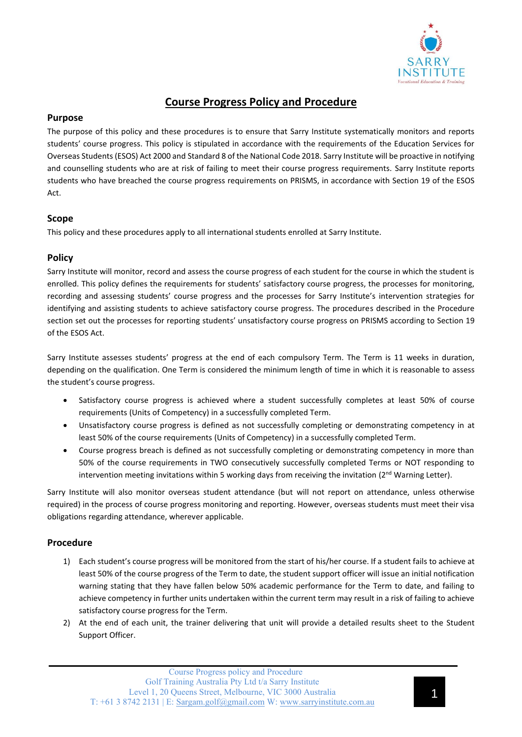

# **Course Progress Policy and Procedure**

### **Purpose**

The purpose of this policy and these procedures is to ensure that Sarry Institute systematically monitors and reports students' course progress. This policy is stipulated in accordance with the requirements of the Education Services for Overseas Students (ESOS) Act 2000 and Standard 8 of the National Code 2018. Sarry Institute will be proactive in notifying and counselling students who are at risk of failing to meet their course progress requirements. Sarry Institute reports students who have breached the course progress requirements on PRISMS, in accordance with Section 19 of the ESOS Act.

### **Scope**

This policy and these procedures apply to all international students enrolled at Sarry Institute.

## **Policy**

Sarry Institute will monitor, record and assess the course progress of each student for the course in which the student is enrolled. This policy defines the requirements for students' satisfactory course progress, the processes for monitoring, recording and assessing students' course progress and the processes for Sarry Institute's intervention strategies for identifying and assisting students to achieve satisfactory course progress. The procedures described in the Procedure section set out the processes for reporting students' unsatisfactory course progress on PRISMS according to Section 19 of the ESOS Act.

Sarry Institute assesses students' progress at the end of each compulsory Term. The Term is 11 weeks in duration, depending on the qualification. One Term is considered the minimum length of time in which it is reasonable to assess the student's course progress.

- Satisfactory course progress is achieved where a student successfully completes at least 50% of course requirements (Units of Competency) in a successfully completed Term.
- Unsatisfactory course progress is defined as not successfully completing or demonstrating competency in at least 50% of the course requirements (Units of Competency) in a successfully completed Term.
- Course progress breach is defined as not successfully completing or demonstrating competency in more than 50% of the course requirements in TWO consecutively successfully completed Terms or NOT responding to intervention meeting invitations within 5 working days from receiving the invitation ( $2<sup>nd</sup>$  Warning Letter).

Sarry Institute will also monitor overseas student attendance (but will not report on attendance, unless otherwise required) in the process of course progress monitoring and reporting. However, overseas students must meet their visa obligations regarding attendance, wherever applicable.

### **Procedure**

- 1) Each student's course progress will be monitored from the start of his/her course. If a student fails to achieve at least 50% of the course progress of the Term to date, the student support officer will issue an initial notification warning stating that they have fallen below 50% academic performance for the Term to date, and failing to achieve competency in further units undertaken within the current term may result in a risk of failing to achieve satisfactory course progress for the Term.
- 2) At the end of each unit, the trainer delivering that unit will provide a detailed results sheet to the Student Support Officer.

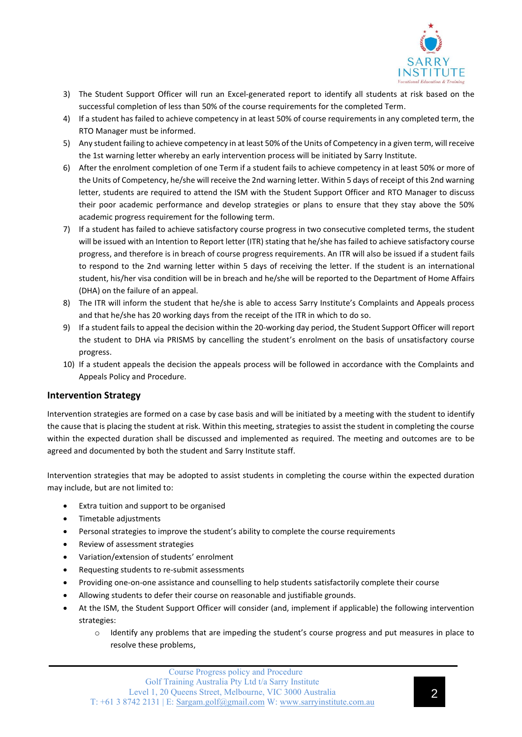

- 3) The Student Support Officer will run an Excel-generated report to identify all students at risk based on the successful completion of less than 50% of the course requirements for the completed Term.
- 4) If a student has failed to achieve competency in at least 50% of course requirements in any completed term, the RTO Manager must be informed.
- 5) Any student failing to achieve competency in at least 50% of the Units of Competency in a given term, will receive the 1st warning letter whereby an early intervention process will be initiated by Sarry Institute.
- 6) After the enrolment completion of one Term if a student fails to achieve competency in at least 50% or more of the Units of Competency, he/she will receive the 2nd warning letter. Within 5 days of receipt of this 2nd warning letter, students are required to attend the ISM with the Student Support Officer and RTO Manager to discuss their poor academic performance and develop strategies or plans to ensure that they stay above the 50% academic progress requirement for the following term.
- 7) If a student has failed to achieve satisfactory course progress in two consecutive completed terms, the student will be issued with an Intention to Report letter (ITR) stating that he/she has failed to achieve satisfactory course progress, and therefore is in breach of course progress requirements. An ITR will also be issued if a student fails to respond to the 2nd warning letter within 5 days of receiving the letter. If the student is an international student, his/her visa condition will be in breach and he/she will be reported to the Department of Home Affairs (DHA) on the failure of an appeal.
- 8) The ITR will inform the student that he/she is able to access Sarry Institute's Complaints and Appeals process and that he/she has 20 working days from the receipt of the ITR in which to do so.
- 9) If a student fails to appeal the decision within the 20-working day period, the Student Support Officer will report the student to DHA via PRISMS by cancelling the student's enrolment on the basis of unsatisfactory course progress.
- 10) If a student appeals the decision the appeals process will be followed in accordance with the Complaints and Appeals Policy and Procedure.

### **Intervention Strategy**

Intervention strategies are formed on a case by case basis and will be initiated by a meeting with the student to identify the cause that is placing the student at risk. Within this meeting, strategies to assist the student in completing the course within the expected duration shall be discussed and implemented as required. The meeting and outcomes are to be agreed and documented by both the student and Sarry Institute staff.

Intervention strategies that may be adopted to assist students in completing the course within the expected duration may include, but are not limited to:

- Extra tuition and support to be organised
- Timetable adjustments
- Personal strategies to improve the student's ability to complete the course requirements
- Review of assessment strategies
- Variation/extension of students' enrolment
- Requesting students to re-submit assessments
- Providing one-on-one assistance and counselling to help students satisfactorily complete their course
- Allowing students to defer their course on reasonable and justifiable grounds.
- At the ISM, the Student Support Officer will consider (and, implement if applicable) the following intervention strategies:
	- o Identify any problems that are impeding the student's course progress and put measures in place to resolve these problems,